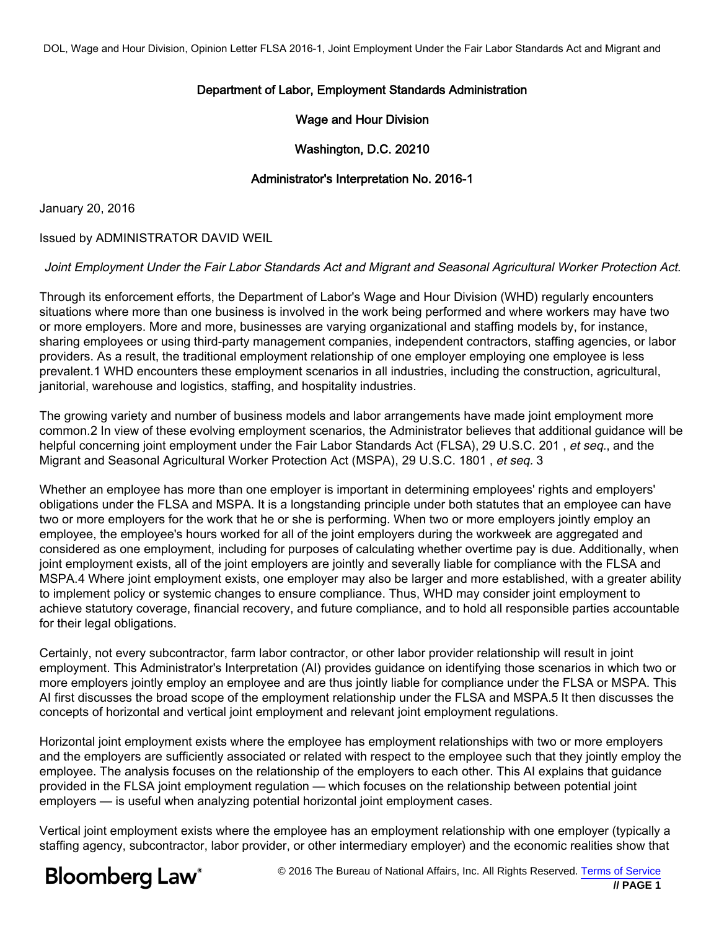# Department of Labor, Employment Standards Administration

## Wage and Hour Division

Washington, D.C. 20210

### Administrator's Interpretation No. 2016-1

January 20, 2016

#### Issued by ADMINISTRATOR DAVID WEIL

#### Joint Employment Under the Fair Labor Standards Act and Migrant and Seasonal Agricultural Worker Protection Act.

Through its enforcement efforts, the Department of Labor's Wage and Hour Division (WHD) regularly encounters situations where more than one business is involved in the work being performed and where workers may have two or more employers. More and more, businesses are varying organizational and staffing models by, for instance, sharing employees or using third-party management companies, independent contractors, staffing agencies, or labor providers. As a result, the traditional employment relationship of one employer employing one employee is less prevalent.1 WHD encounters these employment scenarios in all industries, including the construction, agricultural, janitorial, warehouse and logistics, staffing, and hospitality industries.

The growing variety and number of business models and labor arrangements have made joint employment more common.2 In view of these evolving employment scenarios, the Administrator believes that additional guidance will be helpful concerning joint employment under the Fair Labor Standards Act (FLSA), 29 U.S.C. 201, et seq., and the Migrant and Seasonal Agricultural Worker Protection Act (MSPA), 29 U.S.C. 1801 , et seq. 3

Whether an employee has more than one employer is important in determining employees' rights and employers' obligations under the FLSA and MSPA. It is a longstanding principle under both statutes that an employee can have two or more employers for the work that he or she is performing. When two or more employers jointly employ an employee, the employee's hours worked for all of the joint employers during the workweek are aggregated and considered as one employment, including for purposes of calculating whether overtime pay is due. Additionally, when joint employment exists, all of the joint employers are jointly and severally liable for compliance with the FLSA and MSPA.4 Where joint employment exists, one employer may also be larger and more established, with a greater ability to implement policy or systemic changes to ensure compliance. Thus, WHD may consider joint employment to achieve statutory coverage, financial recovery, and future compliance, and to hold all responsible parties accountable for their legal obligations.

Certainly, not every subcontractor, farm labor contractor, or other labor provider relationship will result in joint employment. This Administrator's Interpretation (AI) provides guidance on identifying those scenarios in which two or more employers jointly employ an employee and are thus jointly liable for compliance under the FLSA or MSPA. This AI first discusses the broad scope of the employment relationship under the FLSA and MSPA.5 It then discusses the concepts of horizontal and vertical joint employment and relevant joint employment regulations.

Horizontal joint employment exists where the employee has employment relationships with two or more employers and the employers are sufficiently associated or related with respect to the employee such that they jointly employ the employee. The analysis focuses on the relationship of the employers to each other. This AI explains that guidance provided in the FLSA joint employment regulation — which focuses on the relationship between potential joint employers — is useful when analyzing potential horizontal joint employment cases.

Vertical joint employment exists where the employee has an employment relationship with one employer (typically a staffing agency, subcontractor, labor provider, or other intermediary employer) and the economic realities show that

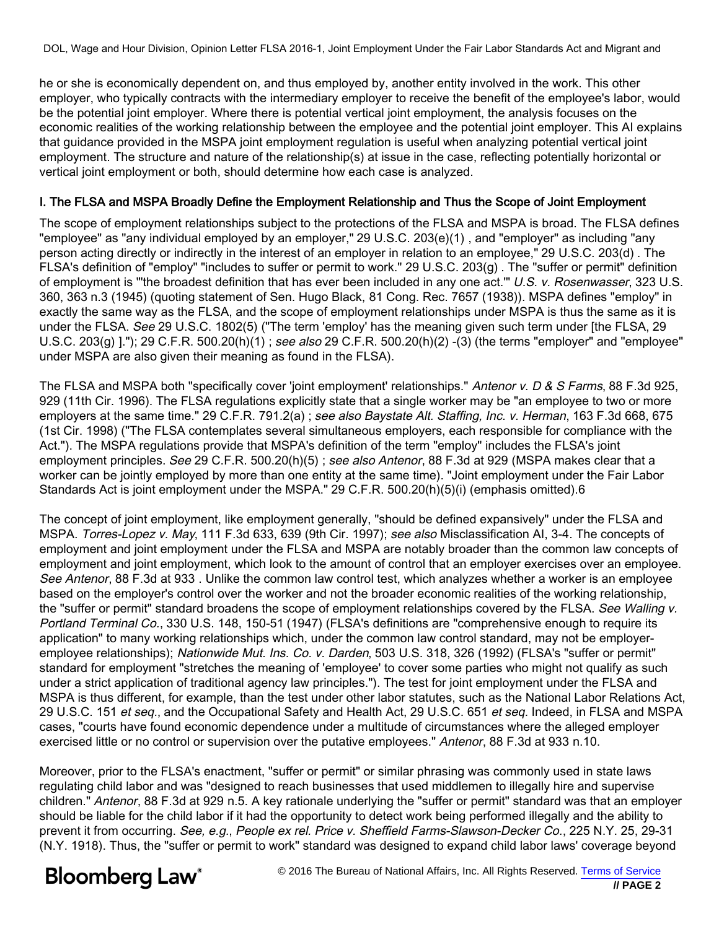he or she is economically dependent on, and thus employed by, another entity involved in the work. This other employer, who typically contracts with the intermediary employer to receive the benefit of the employee's labor, would be the potential joint employer. Where there is potential vertical joint employment, the analysis focuses on the economic realities of the working relationship between the employee and the potential joint employer. This AI explains that guidance provided in the MSPA joint employment regulation is useful when analyzing potential vertical joint employment. The structure and nature of the relationship(s) at issue in the case, reflecting potentially horizontal or vertical joint employment or both, should determine how each case is analyzed.

# I. The FLSA and MSPA Broadly Define the Employment Relationship and Thus the Scope of Joint Employment

The scope of employment relationships subject to the protections of the FLSA and MSPA is broad. The FLSA defines "employee" as "any individual employed by an employer," 29 U.S.C. 203(e)(1) , and "employer" as including "any person acting directly or indirectly in the interest of an employer in relation to an employee," 29 U.S.C. 203(d) . The FLSA's definition of "employ" "includes to suffer or permit to work." 29 U.S.C. 203(g) . The "suffer or permit" definition of employment is "'the broadest definition that has ever been included in any one act.'" U.S. v. Rosenwasser, 323 U.S. 360, 363 n.3 (1945) (quoting statement of Sen. Hugo Black, 81 Cong. Rec. 7657 (1938)). MSPA defines "employ" in exactly the same way as the FLSA, and the scope of employment relationships under MSPA is thus the same as it is under the FLSA. See 29 U.S.C. 1802(5) ("The term 'employ' has the meaning given such term under [the FLSA, 29 U.S.C. 203(g) ]."); 29 C.F.R. 500.20(h)(1) ; see also 29 C.F.R. 500.20(h)(2) -(3) (the terms "employer" and "employee" under MSPA are also given their meaning as found in the FLSA).

The FLSA and MSPA both "specifically cover 'joint employment' relationships." Antenor v. D & S Farms, 88 F.3d 925, 929 (11th Cir. 1996). The FLSA regulations explicitly state that a single worker may be "an employee to two or more employers at the same time." 29 C.F.R. 791.2(a); see also Baystate Alt. Staffing, Inc. v. Herman, 163 F.3d 668, 675 (1st Cir. 1998) ("The FLSA contemplates several simultaneous employers, each responsible for compliance with the Act."). The MSPA regulations provide that MSPA's definition of the term "employ" includes the FLSA's joint employment principles. See 29 C.F.R. 500.20(h)(5); see also Antenor, 88 F.3d at 929 (MSPA makes clear that a worker can be jointly employed by more than one entity at the same time). "Joint employment under the Fair Labor Standards Act is joint employment under the MSPA." 29 C.F.R. 500.20(h)(5)(i) (emphasis omitted).6

The concept of joint employment, like employment generally, "should be defined expansively" under the FLSA and MSPA. Torres-Lopez v. May, 111 F.3d 633, 639 (9th Cir. 1997); see also Misclassification AI, 3-4. The concepts of employment and joint employment under the FLSA and MSPA are notably broader than the common law concepts of employment and joint employment, which look to the amount of control that an employer exercises over an employee. See Antenor, 88 F.3d at 933 . Unlike the common law control test, which analyzes whether a worker is an employee based on the employer's control over the worker and not the broader economic realities of the working relationship, the "suffer or permit" standard broadens the scope of employment relationships covered by the FLSA. See Walling v. Portland Terminal Co., 330 U.S. 148, 150-51 (1947) (FLSA's definitions are "comprehensive enough to require its application" to many working relationships which, under the common law control standard, may not be employeremplovee relationships); Nationwide Mut. Ins. Co. v. Darden, 503 U.S. 318, 326 (1992) (FLSA's "suffer or permit" standard for employment "stretches the meaning of 'employee' to cover some parties who might not qualify as such under a strict application of traditional agency law principles."). The test for joint employment under the FLSA and MSPA is thus different, for example, than the test under other labor statutes, such as the National Labor Relations Act, 29 U.S.C. 151 et seq., and the Occupational Safety and Health Act, 29 U.S.C. 651 et seq. Indeed, in FLSA and MSPA cases, "courts have found economic dependence under a multitude of circumstances where the alleged employer exercised little or no control or supervision over the putative employees." Antenor, 88 F.3d at 933 n.10.

Moreover, prior to the FLSA's enactment, "suffer or permit" or similar phrasing was commonly used in state laws regulating child labor and was "designed to reach businesses that used middlemen to illegally hire and supervise children." Antenor, 88 F.3d at 929 n.5. A key rationale underlying the "suffer or permit" standard was that an employer should be liable for the child labor if it had the opportunity to detect work being performed illegally and the ability to prevent it from occurring. See, e.g., People ex rel. Price v. Sheffield Farms-Slawson-Decker Co., 225 N.Y. 25, 29-31 (N.Y. 1918). Thus, the "suffer or permit to work" standard was designed to expand child labor laws' coverage beyond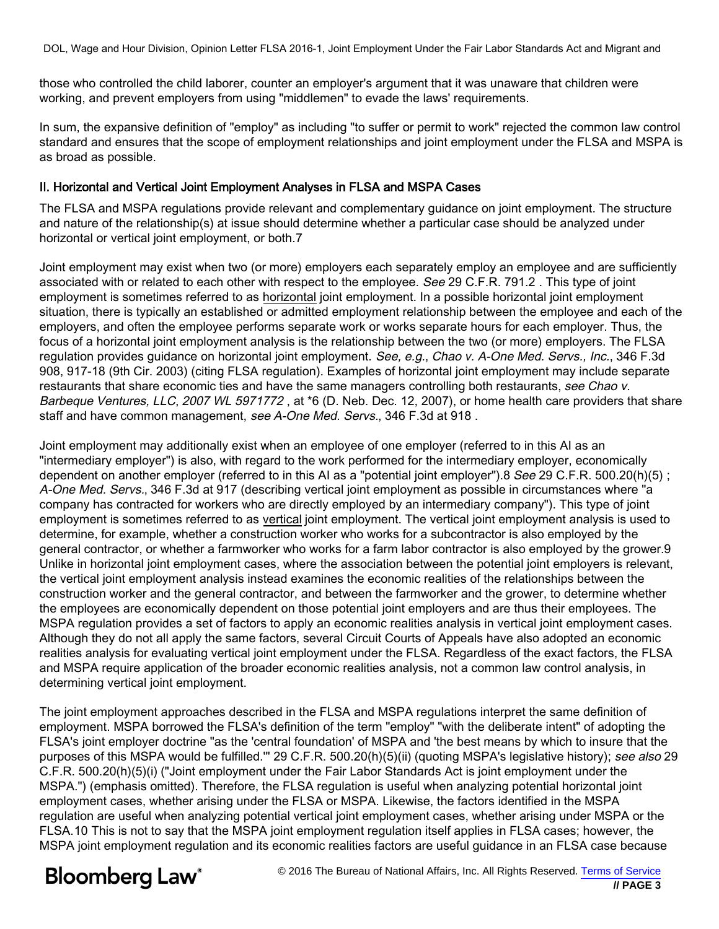those who controlled the child laborer, counter an employer's argument that it was unaware that children were working, and prevent employers from using "middlemen" to evade the laws' requirements.

In sum, the expansive definition of "employ" as including "to suffer or permit to work" rejected the common law control standard and ensures that the scope of employment relationships and joint employment under the FLSA and MSPA is as broad as possible.

## II. Horizontal and Vertical Joint Employment Analyses in FLSA and MSPA Cases

The FLSA and MSPA regulations provide relevant and complementary guidance on joint employment. The structure and nature of the relationship(s) at issue should determine whether a particular case should be analyzed under horizontal or vertical joint employment, or both.7

Joint employment may exist when two (or more) employers each separately employ an employee and are sufficiently associated with or related to each other with respect to the employee. See 29 C.F.R. 791.2 . This type of joint employment is sometimes referred to as horizontal joint employment. In a possible horizontal joint employment situation, there is typically an established or admitted employment relationship between the employee and each of the employers, and often the employee performs separate work or works separate hours for each employer. Thus, the focus of a horizontal joint employment analysis is the relationship between the two (or more) employers. The FLSA regulation provides guidance on horizontal joint employment. See, e.g., Chao v. A-One Med. Servs., Inc., 346 F.3d 908, 917-18 (9th Cir. 2003) (citing FLSA regulation). Examples of horizontal joint employment may include separate restaurants that share economic ties and have the same managers controlling both restaurants, see Chao v. Barbeque Ventures, LLC, 2007 WL 5971772, at \*6 (D. Neb. Dec. 12, 2007), or home health care providers that share staff and have common management, see A-One Med. Servs., 346 F.3d at 918 .

Joint employment may additionally exist when an employee of one employer (referred to in this AI as an "intermediary employer") is also, with regard to the work performed for the intermediary employer, economically dependent on another employer (referred to in this AI as a "potential joint employer").8 See 29 C.F.R. 500.20(h)(5); A-One Med. Servs., 346 F.3d at 917 (describing vertical joint employment as possible in circumstances where "a company has contracted for workers who are directly employed by an intermediary company"). This type of joint employment is sometimes referred to as vertical joint employment. The vertical joint employment analysis is used to determine, for example, whether a construction worker who works for a subcontractor is also employed by the general contractor, or whether a farmworker who works for a farm labor contractor is also employed by the grower.9 Unlike in horizontal joint employment cases, where the association between the potential joint employers is relevant, the vertical joint employment analysis instead examines the economic realities of the relationships between the construction worker and the general contractor, and between the farmworker and the grower, to determine whether the employees are economically dependent on those potential joint employers and are thus their employees. The MSPA regulation provides a set of factors to apply an economic realities analysis in vertical joint employment cases. Although they do not all apply the same factors, several Circuit Courts of Appeals have also adopted an economic realities analysis for evaluating vertical joint employment under the FLSA. Regardless of the exact factors, the FLSA and MSPA require application of the broader economic realities analysis, not a common law control analysis, in determining vertical joint employment.

The joint employment approaches described in the FLSA and MSPA regulations interpret the same definition of employment. MSPA borrowed the FLSA's definition of the term "employ" "with the deliberate intent" of adopting the FLSA's joint employer doctrine "as the 'central foundation' of MSPA and 'the best means by which to insure that the purposes of this MSPA would be fulfilled." 29 C.F.R. 500.20(h)(5)(ii) (quoting MSPA's legislative history); see also 29 C.F.R. 500.20(h)(5)(i) ("Joint employment under the Fair Labor Standards Act is joint employment under the MSPA.") (emphasis omitted). Therefore, the FLSA regulation is useful when analyzing potential horizontal joint employment cases, whether arising under the FLSA or MSPA. Likewise, the factors identified in the MSPA regulation are useful when analyzing potential vertical joint employment cases, whether arising under MSPA or the FLSA.10 This is not to say that the MSPA joint employment regulation itself applies in FLSA cases; however, the MSPA joint employment regulation and its economic realities factors are useful guidance in an FLSA case because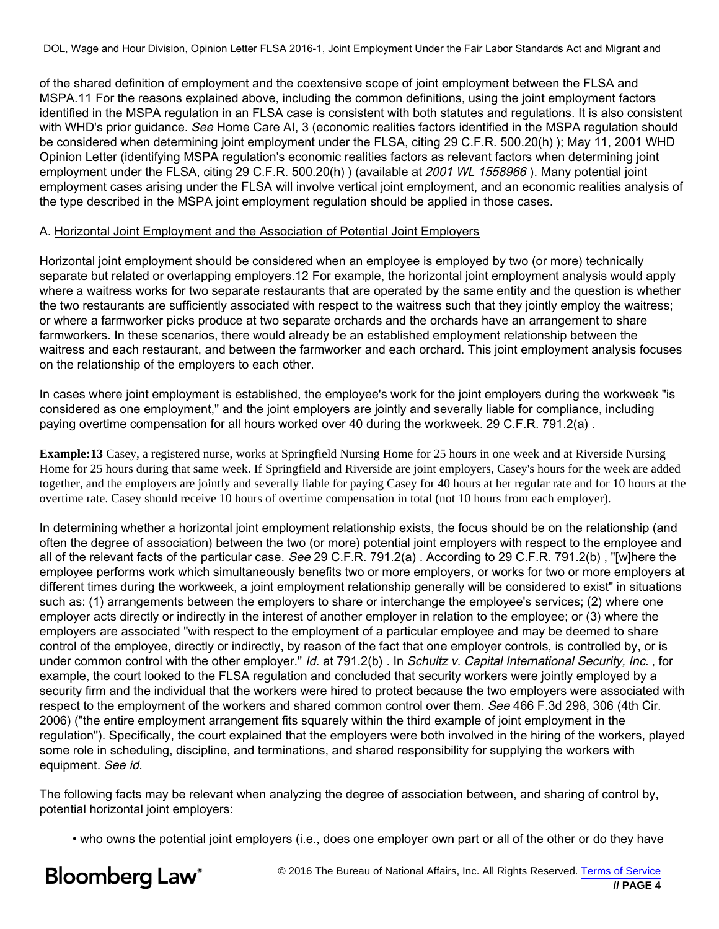of the shared definition of employment and the coextensive scope of joint employment between the FLSA and MSPA.11 For the reasons explained above, including the common definitions, using the joint employment factors identified in the MSPA regulation in an FLSA case is consistent with both statutes and regulations. It is also consistent with WHD's prior guidance. See Home Care AI, 3 (economic realities factors identified in the MSPA regulation should be considered when determining joint employment under the FLSA, citing 29 C.F.R. 500.20(h) ); May 11, 2001 WHD Opinion Letter (identifying MSPA regulation's economic realities factors as relevant factors when determining joint employment under the FLSA, citing 29 C.F.R. 500.20(h)) (available at 2001 WL 1558966). Many potential joint employment cases arising under the FLSA will involve vertical joint employment, and an economic realities analysis of the type described in the MSPA joint employment regulation should be applied in those cases.

#### A. Horizontal Joint Employment and the Association of Potential Joint Employers

Horizontal joint employment should be considered when an employee is employed by two (or more) technically separate but related or overlapping employers.12 For example, the horizontal joint employment analysis would apply where a waitress works for two separate restaurants that are operated by the same entity and the question is whether the two restaurants are sufficiently associated with respect to the waitress such that they jointly employ the waitress; or where a farmworker picks produce at two separate orchards and the orchards have an arrangement to share farmworkers. In these scenarios, there would already be an established employment relationship between the waitress and each restaurant, and between the farmworker and each orchard. This joint employment analysis focuses on the relationship of the employers to each other.

In cases where joint employment is established, the employee's work for the joint employers during the workweek "is considered as one employment," and the joint employers are jointly and severally liable for compliance, including paying overtime compensation for all hours worked over 40 during the workweek. 29 C.F.R. 791.2(a) .

**Example:13** Casey, a registered nurse, works at Springfield Nursing Home for 25 hours in one week and at Riverside Nursing Home for 25 hours during that same week. If Springfield and Riverside are joint employers, Casey's hours for the week are added together, and the employers are jointly and severally liable for paying Casey for 40 hours at her regular rate and for 10 hours at the overtime rate. Casey should receive 10 hours of overtime compensation in total (not 10 hours from each employer).

In determining whether a horizontal joint employment relationship exists, the focus should be on the relationship (and often the degree of association) between the two (or more) potential joint employers with respect to the employee and all of the relevant facts of the particular case. See 29 C.F.R. 791.2(a). According to 29 C.F.R. 791.2(b), "[w]here the employee performs work which simultaneously benefits two or more employers, or works for two or more employers at different times during the workweek, a joint employment relationship generally will be considered to exist" in situations such as: (1) arrangements between the employers to share or interchange the employee's services; (2) where one employer acts directly or indirectly in the interest of another employer in relation to the employee; or (3) where the employers are associated "with respect to the employment of a particular employee and may be deemed to share control of the employee, directly or indirectly, by reason of the fact that one employer controls, is controlled by, or is under common control with the other employer." Id. at 791.2(b) . In Schultz v. Capital International Security, Inc., for example, the court looked to the FLSA regulation and concluded that security workers were jointly employed by a security firm and the individual that the workers were hired to protect because the two employers were associated with respect to the employment of the workers and shared common control over them. See 466 F.3d 298, 306 (4th Cir. 2006) ("the entire employment arrangement fits squarely within the third example of joint employment in the regulation"). Specifically, the court explained that the employers were both involved in the hiring of the workers, played some role in scheduling, discipline, and terminations, and shared responsibility for supplying the workers with equipment. See id.

The following facts may be relevant when analyzing the degree of association between, and sharing of control by, potential horizontal joint employers:

• who owns the potential joint employers (i.e., does one employer own part or all of the other or do they have

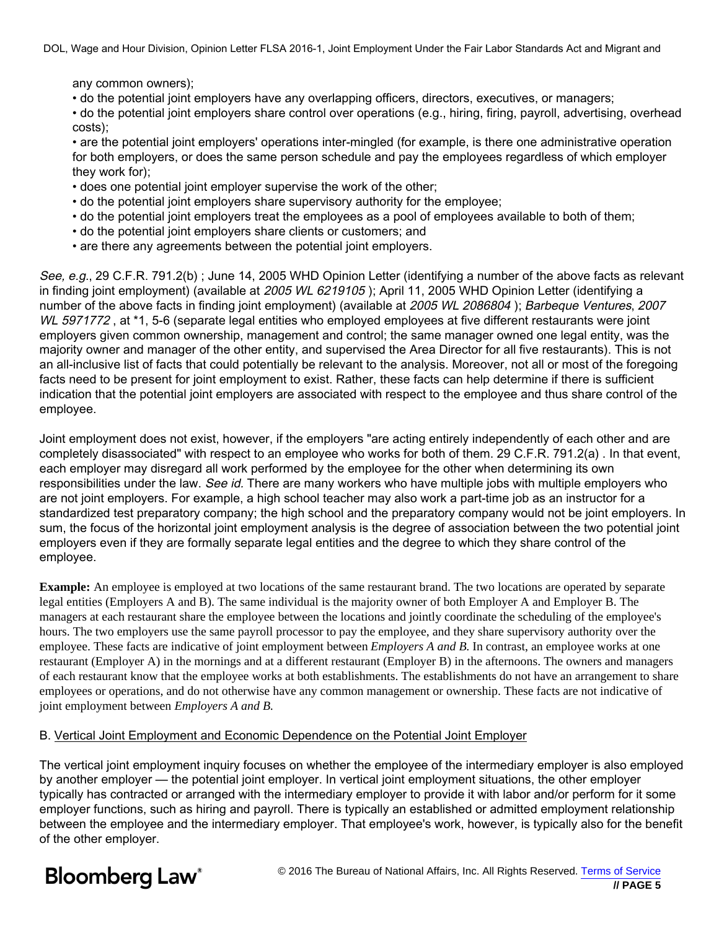any common owners);

• do the potential joint employers have any overlapping officers, directors, executives, or managers;

• do the potential joint employers share control over operations (e.g., hiring, firing, payroll, advertising, overhead costs);

• are the potential joint employers' operations inter-mingled (for example, is there one administrative operation for both employers, or does the same person schedule and pay the employees regardless of which employer they work for);

- does one potential joint employer supervise the work of the other;
- do the potential joint employers share supervisory authority for the employee;
- do the potential joint employers treat the employees as a pool of employees available to both of them;
- do the potential joint employers share clients or customers; and
- are there any agreements between the potential joint employers.

See, e.g., 29 C.F.R. 791.2(b) ; June 14, 2005 WHD Opinion Letter (identifying a number of the above facts as relevant in finding joint employment) (available at 2005 WL 6219105); April 11, 2005 WHD Opinion Letter (identifying a number of the above facts in finding joint employment) (available at 2005 WL 2086804); Barbeque Ventures, 2007 WL 5971772, at \*1, 5-6 (separate legal entities who employed employees at five different restaurants were joint employers given common ownership, management and control; the same manager owned one legal entity, was the majority owner and manager of the other entity, and supervised the Area Director for all five restaurants). This is not an all-inclusive list of facts that could potentially be relevant to the analysis. Moreover, not all or most of the foregoing facts need to be present for joint employment to exist. Rather, these facts can help determine if there is sufficient indication that the potential joint employers are associated with respect to the employee and thus share control of the employee.

Joint employment does not exist, however, if the employers "are acting entirely independently of each other and are completely disassociated" with respect to an employee who works for both of them. 29 C.F.R. 791.2(a) . In that event, each employer may disregard all work performed by the employee for the other when determining its own responsibilities under the law. See id. There are many workers who have multiple jobs with multiple employers who are not joint employers. For example, a high school teacher may also work a part-time job as an instructor for a standardized test preparatory company; the high school and the preparatory company would not be joint employers. In sum, the focus of the horizontal joint employment analysis is the degree of association between the two potential joint employers even if they are formally separate legal entities and the degree to which they share control of the employee.

**Example:** An employee is employed at two locations of the same restaurant brand. The two locations are operated by separate legal entities (Employers A and B). The same individual is the majority owner of both Employer A and Employer B. The managers at each restaurant share the employee between the locations and jointly coordinate the scheduling of the employee's hours. The two employers use the same payroll processor to pay the employee, and they share supervisory authority over the employee. These facts are indicative of joint employment between *Employers A and B*. In contrast, an employee works at one restaurant (Employer A) in the mornings and at a different restaurant (Employer B) in the afternoons. The owners and managers of each restaurant know that the employee works at both establishments. The establishments do not have an arrangement to share employees or operations, and do not otherwise have any common management or ownership. These facts are not indicative of joint employment between *Employers A and B*.

#### B. Vertical Joint Employment and Economic Dependence on the Potential Joint Employer

The vertical joint employment inquiry focuses on whether the employee of the intermediary employer is also employed by another employer — the potential joint employer. In vertical joint employment situations, the other employer typically has contracted or arranged with the intermediary employer to provide it with labor and/or perform for it some employer functions, such as hiring and payroll. There is typically an established or admitted employment relationship between the employee and the intermediary employer. That employee's work, however, is typically also for the benefit of the other employer.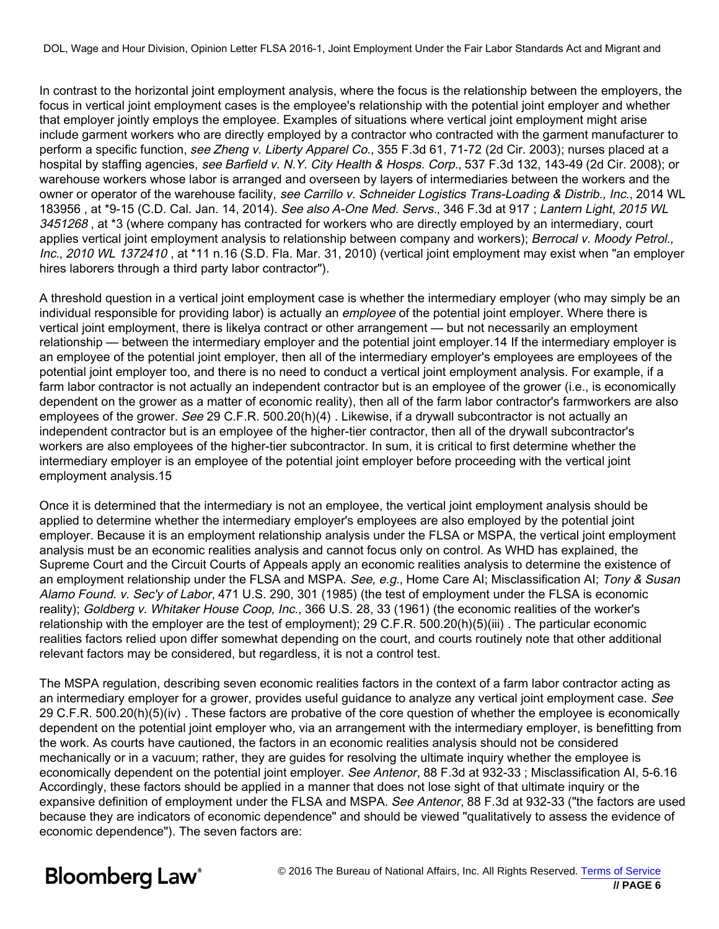In contrast to the horizontal joint employment analysis, where the focus is the relationship between the employers, the focus in vertical joint employment cases is the employee's relationship with the potential joint employer and whether that employer jointly employs the employee. Examples of situations where vertical joint employment might arise include garment workers who are directly employed by a contractor who contracted with the garment manufacturer to perform a specific function, see Zheng v. Liberty Apparel Co., 355 F.3d 61, 71-72 (2d Cir. 2003); nurses placed at a hospital by staffing agencies, see Barfield v. N.Y. City Health & Hosps. Corp., 537 F.3d 132, 143-49 (2d Cir. 2008); or warehouse workers whose labor is arranged and overseen by layers of intermediaries between the workers and the owner or operator of the warehouse facility, see Carrillo v. Schneider Logistics Trans-Loading & Distrib., Inc., 2014 WL 183956 , at \*9-15 (C.D. Cal. Jan. 14, 2014). See also A-One Med. Servs., 346 F.3d at 917 ; Lantern Light, 2015 WL 3451268, at \*3 (where company has contracted for workers who are directly employed by an intermediary, court applies vertical joint employment analysis to relationship between company and workers); Berrocal v. Moody Petrol., Inc., 2010 WL 1372410 , at \*11 n.16 (S.D. Fla. Mar. 31, 2010) (vertical joint employment may exist when "an employer hires laborers through a third party labor contractor").

A threshold question in a vertical joint employment case is whether the intermediary employer (who may simply be an individual responsible for providing labor) is actually an *employee* of the potential joint employer. Where there is vertical joint employment, there is likelya contract or other arrangement — but not necessarily an employment relationship — between the intermediary employer and the potential joint employer.14 If the intermediary employer is an employee of the potential joint employer, then all of the intermediary employer's employees are employees of the potential joint employer too, and there is no need to conduct a vertical joint employment analysis. For example, if a farm labor contractor is not actually an independent contractor but is an employee of the grower (i.e., is economically dependent on the grower as a matter of economic reality), then all of the farm labor contractor's farmworkers are also employees of the grower. See 29 C.F.R. 500.20(h)(4). Likewise, if a drywall subcontractor is not actually an independent contractor but is an employee of the higher-tier contractor, then all of the drywall subcontractor's workers are also employees of the higher-tier subcontractor. In sum, it is critical to first determine whether the intermediary employer is an employee of the potential joint employer before proceeding with the vertical joint employment analysis.15

Once it is determined that the intermediary is not an employee, the vertical joint employment analysis should be applied to determine whether the intermediary employer's employees are also employed by the potential joint employer. Because it is an employment relationship analysis under the FLSA or MSPA, the vertical joint employment analysis must be an economic realities analysis and cannot focus only on control. As WHD has explained, the Supreme Court and the Circuit Courts of Appeals apply an economic realities analysis to determine the existence of an employment relationship under the FLSA and MSPA. See, e.g., Home Care AI; Misclassification AI; Tony & Susan Alamo Found. v. Sec'y of Labor, 471 U.S. 290, 301 (1985) (the test of employment under the FLSA is economic reality); Goldberg v. Whitaker House Coop, Inc., 366 U.S. 28, 33 (1961) (the economic realities of the worker's relationship with the employer are the test of employment); 29 C.F.R. 500.20(h)(5)(iii) . The particular economic realities factors relied upon differ somewhat depending on the court, and courts routinely note that other additional relevant factors may be considered, but regardless, it is not a control test.

The MSPA regulation, describing seven economic realities factors in the context of a farm labor contractor acting as an intermediary employer for a grower, provides useful guidance to analyze any vertical joint employment case. See 29 C.F.R. 500.20(h)(5)(iv) . These factors are probative of the core question of whether the employee is economically dependent on the potential joint employer who, via an arrangement with the intermediary employer, is benefitting from the work. As courts have cautioned, the factors in an economic realities analysis should not be considered mechanically or in a vacuum; rather, they are guides for resolving the ultimate inquiry whether the employee is economically dependent on the potential joint employer. See Antenor, 88 F.3d at 932-33 ; Misclassification AI, 5-6.16 Accordingly, these factors should be applied in a manner that does not lose sight of that ultimate inquiry or the expansive definition of employment under the FLSA and MSPA. See Antenor, 88 F.3d at 932-33 ("the factors are used because they are indicators of economic dependence" and should be viewed "qualitatively to assess the evidence of economic dependence"). The seven factors are:

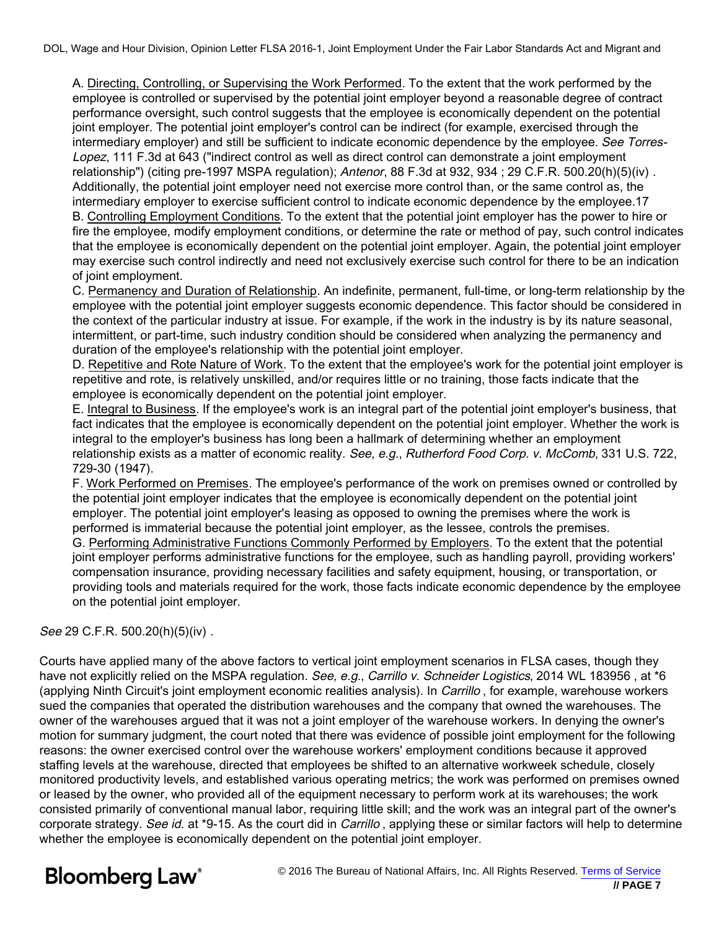A. Directing, Controlling, or Supervising the Work Performed. To the extent that the work performed by the employee is controlled or supervised by the potential joint employer beyond a reasonable degree of contract performance oversight, such control suggests that the employee is economically dependent on the potential joint employer. The potential joint employer's control can be indirect (for example, exercised through the intermediary employer) and still be sufficient to indicate economic dependence by the employee. See Torres-Lopez, 111 F.3d at 643 ("indirect control as well as direct control can demonstrate a joint employment relationship") (citing pre-1997 MSPA regulation); Antenor, 88 F.3d at 932, 934; 29 C.F.R. 500.20(h)(5)(iv). Additionally, the potential joint employer need not exercise more control than, or the same control as, the intermediary employer to exercise sufficient control to indicate economic dependence by the employee.17 B. Controlling Employment Conditions. To the extent that the potential joint employer has the power to hire or fire the employee, modify employment conditions, or determine the rate or method of pay, such control indicates that the employee is economically dependent on the potential joint employer. Again, the potential joint employer may exercise such control indirectly and need not exclusively exercise such control for there to be an indication of joint employment.

C. Permanency and Duration of Relationship. An indefinite, permanent, full-time, or long-term relationship by the employee with the potential joint employer suggests economic dependence. This factor should be considered in the context of the particular industry at issue. For example, if the work in the industry is by its nature seasonal, intermittent, or part-time, such industry condition should be considered when analyzing the permanency and duration of the employee's relationship with the potential joint employer.

D. Repetitive and Rote Nature of Work. To the extent that the employee's work for the potential joint employer is repetitive and rote, is relatively unskilled, and/or requires little or no training, those facts indicate that the employee is economically dependent on the potential joint employer.

E. Integral to Business. If the employee's work is an integral part of the potential joint employer's business, that fact indicates that the employee is economically dependent on the potential joint employer. Whether the work is integral to the employer's business has long been a hallmark of determining whether an employment relationship exists as a matter of economic reality. See, e.g., Rutherford Food Corp. v. McComb, 331 U.S. 722, 729-30 (1947).

F. Work Performed on Premises. The employee's performance of the work on premises owned or controlled by the potential joint employer indicates that the employee is economically dependent on the potential joint employer. The potential joint employer's leasing as opposed to owning the premises where the work is performed is immaterial because the potential joint employer, as the lessee, controls the premises. G. Performing Administrative Functions Commonly Performed by Employers. To the extent that the potential joint employer performs administrative functions for the employee, such as handling payroll, providing workers' compensation insurance, providing necessary facilities and safety equipment, housing, or transportation, or providing tools and materials required for the work, those facts indicate economic dependence by the employee on the potential joint employer.

## See 29 C.F.R. 500.20(h)(5)(iv) .

Courts have applied many of the above factors to vertical joint employment scenarios in FLSA cases, though they have not explicitly relied on the MSPA regulation. See, e.g., Carrillo v. Schneider Logistics, 2014 WL 183956, at \*6 (applying Ninth Circuit's joint employment economic realities analysis). In Carrillo, for example, warehouse workers sued the companies that operated the distribution warehouses and the company that owned the warehouses. The owner of the warehouses argued that it was not a joint employer of the warehouse workers. In denying the owner's motion for summary judgment, the court noted that there was evidence of possible joint employment for the following reasons: the owner exercised control over the warehouse workers' employment conditions because it approved staffing levels at the warehouse, directed that employees be shifted to an alternative workweek schedule, closely monitored productivity levels, and established various operating metrics; the work was performed on premises owned or leased by the owner, who provided all of the equipment necessary to perform work at its warehouses; the work consisted primarily of conventional manual labor, requiring little skill; and the work was an integral part of the owner's corporate strategy. See id. at \*9-15. As the court did in Carrillo, applying these or similar factors will help to determine whether the employee is economically dependent on the potential joint employer.

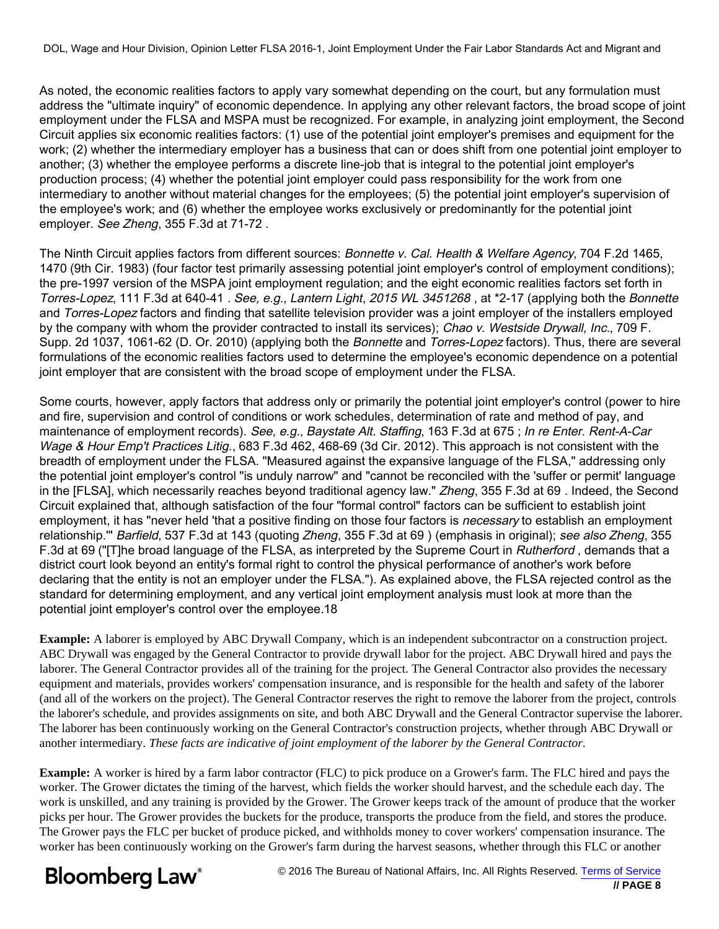As noted, the economic realities factors to apply vary somewhat depending on the court, but any formulation must address the "ultimate inquiry" of economic dependence. In applying any other relevant factors, the broad scope of joint employment under the FLSA and MSPA must be recognized. For example, in analyzing joint employment, the Second Circuit applies six economic realities factors: (1) use of the potential joint employer's premises and equipment for the work; (2) whether the intermediary employer has a business that can or does shift from one potential joint employer to another; (3) whether the employee performs a discrete line-job that is integral to the potential joint employer's production process; (4) whether the potential joint employer could pass responsibility for the work from one intermediary to another without material changes for the employees; (5) the potential joint employer's supervision of the employee's work; and (6) whether the employee works exclusively or predominantly for the potential joint employer. See Zheng, 355 F.3d at 71-72 .

The Ninth Circuit applies factors from different sources: Bonnette v. Cal. Health & Welfare Agency, 704 F.2d 1465, 1470 (9th Cir. 1983) (four factor test primarily assessing potential joint employer's control of employment conditions); the pre-1997 version of the MSPA joint employment regulation; and the eight economic realities factors set forth in Torres-Lopez, 111 F.3d at 640-41 . See, e.g., Lantern Light, 2015 WL 3451268, at \*2-17 (applying both the Bonnette and Torres-Lopez factors and finding that satellite television provider was a joint employer of the installers employed by the company with whom the provider contracted to install its services); Chao v. Westside Drywall, Inc., 709 F. Supp. 2d 1037, 1061-62 (D. Or. 2010) (applying both the Bonnette and Torres-Lopez factors). Thus, there are several formulations of the economic realities factors used to determine the employee's economic dependence on a potential joint employer that are consistent with the broad scope of employment under the FLSA.

Some courts, however, apply factors that address only or primarily the potential joint employer's control (power to hire and fire, supervision and control of conditions or work schedules, determination of rate and method of pay, and maintenance of employment records). See, e.g., Baystate Alt. Staffing, 163 F.3d at 675; In re Enter. Rent-A-Car Wage & Hour Emp't Practices Litig., 683 F.3d 462, 468-69 (3d Cir. 2012). This approach is not consistent with the breadth of employment under the FLSA. "Measured against the expansive language of the FLSA," addressing only the potential joint employer's control "is unduly narrow" and "cannot be reconciled with the 'suffer or permit' language in the [FLSA], which necessarily reaches beyond traditional agency law." Zheng, 355 F.3d at 69 . Indeed, the Second Circuit explained that, although satisfaction of the four "formal control" factors can be sufficient to establish joint employment, it has "never held 'that a positive finding on those four factors is *necessary* to establish an employment relationship." Barfield, 537 F.3d at 143 (quoting Zheng, 355 F.3d at 69) (emphasis in original); see also Zheng, 355 F.3d at 69 ("[T]he broad language of the FLSA, as interpreted by the Supreme Court in Rutherford, demands that a district court look beyond an entity's formal right to control the physical performance of another's work before declaring that the entity is not an employer under the FLSA."). As explained above, the FLSA rejected control as the standard for determining employment, and any vertical joint employment analysis must look at more than the potential joint employer's control over the employee.18

**Example:** A laborer is employed by ABC Drywall Company, which is an independent subcontractor on a construction project. ABC Drywall was engaged by the General Contractor to provide drywall labor for the project. ABC Drywall hired and pays the laborer. The General Contractor provides all of the training for the project. The General Contractor also provides the necessary equipment and materials, provides workers' compensation insurance, and is responsible for the health and safety of the laborer (and all of the workers on the project). The General Contractor reserves the right to remove the laborer from the project, controls the laborer's schedule, and provides assignments on site, and both ABC Drywall and the General Contractor supervise the laborer. The laborer has been continuously working on the General Contractor's construction projects, whether through ABC Drywall or another intermediary. *These facts are indicative of joint employment of the laborer by the General Contractor*.

**Example:** A worker is hired by a farm labor contractor (FLC) to pick produce on a Grower's farm. The FLC hired and pays the worker. The Grower dictates the timing of the harvest, which fields the worker should harvest, and the schedule each day. The work is unskilled, and any training is provided by the Grower. The Grower keeps track of the amount of produce that the worker picks per hour. The Grower provides the buckets for the produce, transports the produce from the field, and stores the produce. The Grower pays the FLC per bucket of produce picked, and withholds money to cover workers' compensation insurance. The worker has been continuously working on the Grower's farm during the harvest seasons, whether through this FLC or another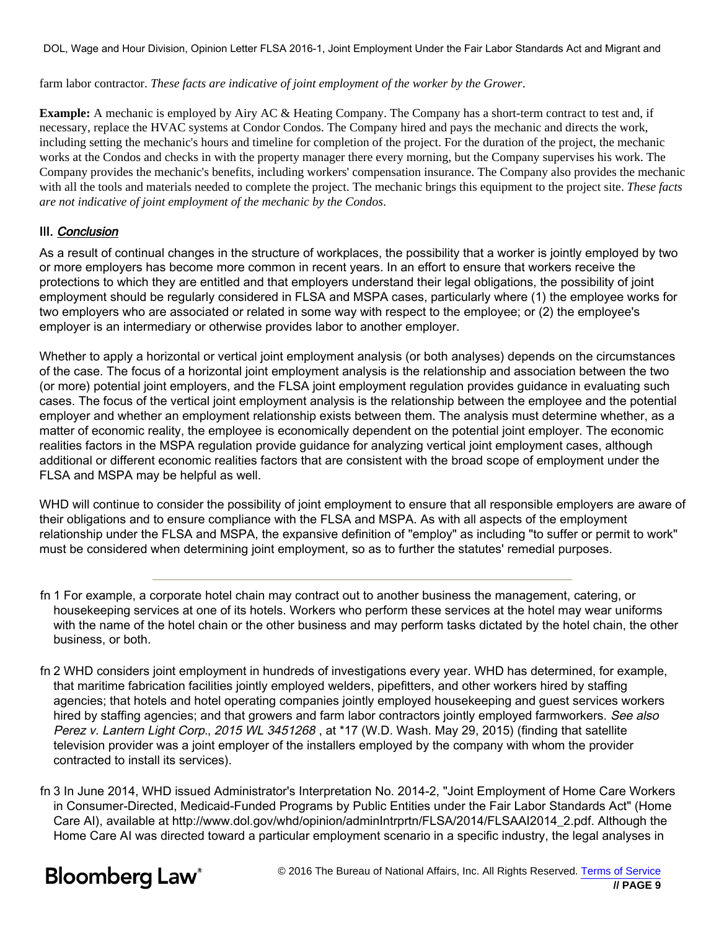farm labor contractor. *These facts are indicative of joint employment of the worker by the Grower*.

**Example:** A mechanic is employed by Airy AC & Heating Company. The Company has a short-term contract to test and, if necessary, replace the HVAC systems at Condor Condos. The Company hired and pays the mechanic and directs the work, including setting the mechanic's hours and timeline for completion of the project. For the duration of the project, the mechanic works at the Condos and checks in with the property manager there every morning, but the Company supervises his work. The Company provides the mechanic's benefits, including workers' compensation insurance. The Company also provides the mechanic with all the tools and materials needed to complete the project. The mechanic brings this equipment to the project site. *These facts are not indicative of joint employment of the mechanic by the Condos*.

## III. Conclusion

As a result of continual changes in the structure of workplaces, the possibility that a worker is jointly employed by two or more employers has become more common in recent years. In an effort to ensure that workers receive the protections to which they are entitled and that employers understand their legal obligations, the possibility of joint employment should be regularly considered in FLSA and MSPA cases, particularly where (1) the employee works for two employers who are associated or related in some way with respect to the employee; or (2) the employee's employer is an intermediary or otherwise provides labor to another employer.

Whether to apply a horizontal or vertical joint employment analysis (or both analyses) depends on the circumstances of the case. The focus of a horizontal joint employment analysis is the relationship and association between the two (or more) potential joint employers, and the FLSA joint employment regulation provides guidance in evaluating such cases. The focus of the vertical joint employment analysis is the relationship between the employee and the potential employer and whether an employment relationship exists between them. The analysis must determine whether, as a matter of economic reality, the employee is economically dependent on the potential joint employer. The economic realities factors in the MSPA regulation provide guidance for analyzing vertical joint employment cases, although additional or different economic realities factors that are consistent with the broad scope of employment under the FLSA and MSPA may be helpful as well.

WHD will continue to consider the possibility of joint employment to ensure that all responsible employers are aware of their obligations and to ensure compliance with the FLSA and MSPA. As with all aspects of the employment relationship under the FLSA and MSPA, the expansive definition of "employ" as including "to suffer or permit to work" must be considered when determining joint employment, so as to further the statutes' remedial purposes.

- fn 1 For example, a corporate hotel chain may contract out to another business the management, catering, or housekeeping services at one of its hotels. Workers who perform these services at the hotel may wear uniforms with the name of the hotel chain or the other business and may perform tasks dictated by the hotel chain, the other business, or both.
- fn 2 WHD considers joint employment in hundreds of investigations every year. WHD has determined, for example, that maritime fabrication facilities jointly employed welders, pipefitters, and other workers hired by staffing agencies; that hotels and hotel operating companies jointly employed housekeeping and guest services workers hired by staffing agencies; and that growers and farm labor contractors jointly employed farmworkers. See also Perez v. Lantern Light Corp., 2015 WL 3451268, at \*17 (W.D. Wash. May 29, 2015) (finding that satellite television provider was a joint employer of the installers employed by the company with whom the provider contracted to install its services).
- fn 3 In June 2014, WHD issued Administrator's Interpretation No. 2014-2, "Joint Employment of Home Care Workers in Consumer-Directed, Medicaid-Funded Programs by Public Entities under the Fair Labor Standards Act" (Home Care AI), available at http://www.dol.gov/whd/opinion/adminIntrprtn/FLSA/2014/FLSAAI2014\_2.pdf. Although the Home Care AI was directed toward a particular employment scenario in a specific industry, the legal analyses in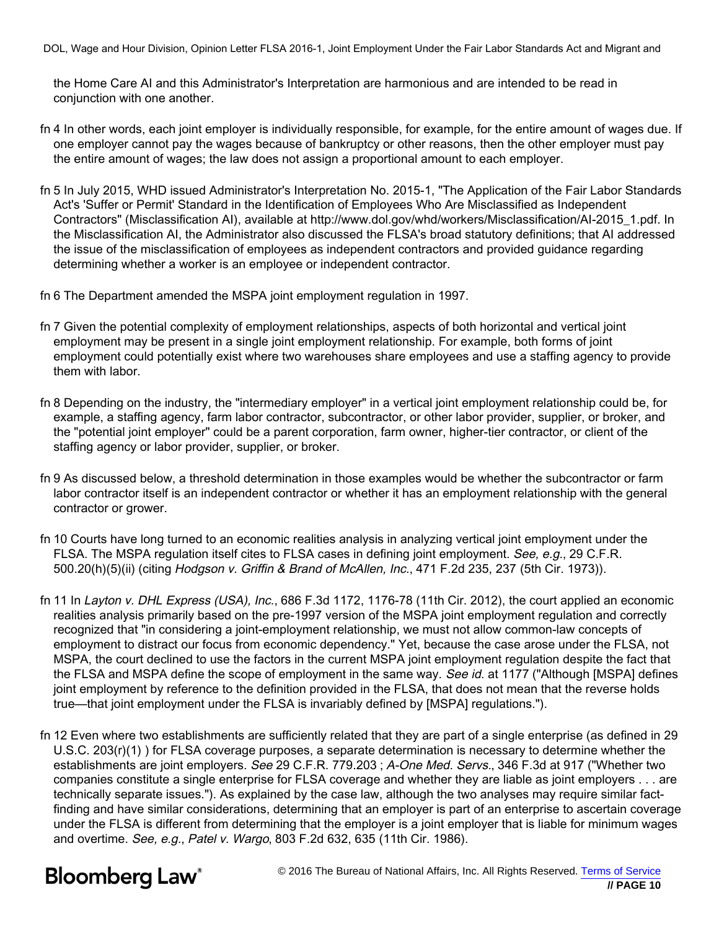the Home Care AI and this Administrator's Interpretation are harmonious and are intended to be read in conjunction with one another.

- fn 4 In other words, each joint employer is individually responsible, for example, for the entire amount of wages due. If one employer cannot pay the wages because of bankruptcy or other reasons, then the other employer must pay the entire amount of wages; the law does not assign a proportional amount to each employer.
- fn 5 In July 2015, WHD issued Administrator's Interpretation No. 2015-1, "The Application of the Fair Labor Standards Act's 'Suffer or Permit' Standard in the Identification of Employees Who Are Misclassified as Independent Contractors" (Misclassification AI), available at http://www.dol.gov/whd/workers/Misclassification/AI-2015\_1.pdf. In the Misclassification AI, the Administrator also discussed the FLSA's broad statutory definitions; that AI addressed the issue of the misclassification of employees as independent contractors and provided guidance regarding determining whether a worker is an employee or independent contractor.
- fn 6 The Department amended the MSPA joint employment regulation in 1997.
- fn 7 Given the potential complexity of employment relationships, aspects of both horizontal and vertical joint employment may be present in a single joint employment relationship. For example, both forms of joint employment could potentially exist where two warehouses share employees and use a staffing agency to provide them with labor.
- fn 8 Depending on the industry, the "intermediary employer" in a vertical joint employment relationship could be, for example, a staffing agency, farm labor contractor, subcontractor, or other labor provider, supplier, or broker, and the "potential joint employer" could be a parent corporation, farm owner, higher-tier contractor, or client of the staffing agency or labor provider, supplier, or broker.
- fn 9 As discussed below, a threshold determination in those examples would be whether the subcontractor or farm labor contractor itself is an independent contractor or whether it has an employment relationship with the general contractor or grower.
- fn 10 Courts have long turned to an economic realities analysis in analyzing vertical joint employment under the FLSA. The MSPA regulation itself cites to FLSA cases in defining joint employment. See, e.g., 29 C.F.R. 500.20(h)(5)(ii) (citing Hodgson v. Griffin & Brand of McAllen, Inc., 471 F.2d 235, 237 (5th Cir. 1973)).
- fn 11 In Layton v. DHL Express (USA), Inc., 686 F.3d 1172, 1176-78 (11th Cir. 2012), the court applied an economic realities analysis primarily based on the pre-1997 version of the MSPA joint employment regulation and correctly recognized that "in considering a joint-employment relationship, we must not allow common-law concepts of employment to distract our focus from economic dependency." Yet, because the case arose under the FLSA, not MSPA, the court declined to use the factors in the current MSPA joint employment regulation despite the fact that the FLSA and MSPA define the scope of employment in the same way. See id. at 1177 ("Although [MSPA] defines joint employment by reference to the definition provided in the FLSA, that does not mean that the reverse holds true—that joint employment under the FLSA is invariably defined by [MSPA] regulations.").
- fn 12 Even where two establishments are sufficiently related that they are part of a single enterprise (as defined in 29 U.S.C. 203(r)(1) ) for FLSA coverage purposes, a separate determination is necessary to determine whether the establishments are joint employers. See 29 C.F.R. 779.203; A-One Med. Servs., 346 F.3d at 917 ("Whether two companies constitute a single enterprise for FLSA coverage and whether they are liable as joint employers . . . are technically separate issues."). As explained by the case law, although the two analyses may require similar factfinding and have similar considerations, determining that an employer is part of an enterprise to ascertain coverage under the FLSA is different from determining that the employer is a joint employer that is liable for minimum wages and overtime. See, e.g., Patel v. Wargo, 803 F.2d 632, 635 (11th Cir. 1986).